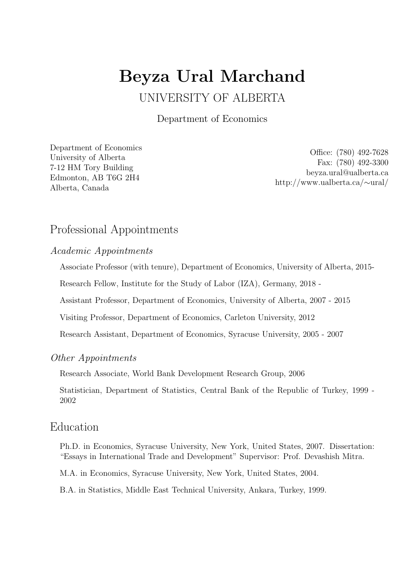# Beyza Ural Marchand

# UNIVERSITY OF ALBERTA

Department of Economics

[Department of Economics](http://www.economics.ualberta.ca/) [University of Alberta](http://www.ualberta.ca/) 7-12 HM Tory Building Edmonton, AB T6G 2H4 Alberta, Canada

Office: (780) 492-7628 Fax: (780) 492-3300 [beyza.ural@ualberta.ca](mailto:beyza.ural@ualberta.ca) [http://www.ualberta.ca/](http://www.ualberta.ca/~ural/)∼ural/

# Professional Appointments

Academic Appointments

Associate Professor (with tenure), Department of Economics, University of Alberta, 2015-

Research Fellow, Institute for the Study of Labor (IZA), Germany, 2018 -

Assistant Professor, Department of Economics, University of Alberta, 2007 - 2015

Visiting Professor, Department of Economics, Carleton University, 2012

Research Assistant, Department of Economics, Syracuse University, 2005 - 2007

#### Other Appointments

Research Associate, World Bank Development Research Group, 2006

Statistician, Department of Statistics, Central Bank of the Republic of Turkey, 1999 - 2002

### Education

Ph.D. in Economics, Syracuse University, New York, United States, 2007. Dissertation: "Essays in International Trade and Development" Supervisor: Prof. Devashish Mitra.

M.A. in Economics, Syracuse University, New York, United States, 2004.

B.A. in Statistics, Middle East Technical University, Ankara, Turkey, 1999.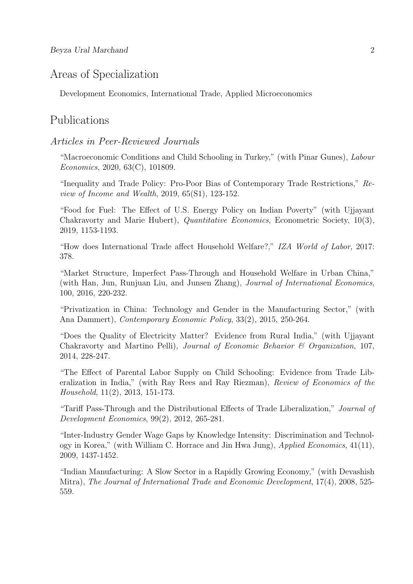# Areas of Specialization

Development Economics, International Trade, Applied Microeconomics

# Publications

#### Articles in Peer-Reviewed Journals

"Macroeconomic Conditions and Child Schooling in Turkey," (with Pinar Gunes), Labour Economics, 2020, 63(C), 101809.

"Inequality and Trade Policy: Pro-Poor Bias of Contemporary Trade Restrictions," Review of Income and Wealth, 2019, 65(S1), 123-152.

"Food for Fuel: The Effect of U.S. Energy Policy on Indian Poverty" (with Ujjayant Chakravorty and Marie Hubert), Quantitative Economics, Econometric Society, 10(3), 2019, 1153-1193.

"How does International Trade affect Household Welfare?," IZA World of Labor, 2017: 378.

"Market Structure, Imperfect Pass-Through and Household Welfare in Urban China," (with Han, Jun, Runjuan Liu, and Junsen Zhang), Journal of International Economics, 100, 2016, 220-232.

"Privatization in China: Technology and Gender in the Manufacturing Sector," (with Ana Dammert), Contemporary Economic Policy, 33(2), 2015, 250-264.

"Does the Quality of Electricity Matter? Evidence from Rural India," (with Ujjayant Chakravorty and Martino Pelli), Journal of Economic Behavior & Organization, 107, 2014, 228-247.

"The Effect of Parental Labor Supply on Child Schooling: Evidence from Trade Liberalization in India," (with Ray Rees and Ray Riezman), Review of Economics of the Household, 11(2), 2013, 151-173.

"Tariff Pass-Through and the Distributional Effects of Trade Liberalization," Journal of Development Economics, 99(2), 2012, 265-281.

"Inter-Industry Gender Wage Gaps by Knowledge Intensity: Discrimination and Technology in Korea," (with William C. Horrace and Jin Hwa Jung), Applied Economics, 41(11), 2009, 1437-1452.

"Indian Manufacturing: A Slow Sector in a Rapidly Growing Economy," (with Devashish Mitra), The Journal of International Trade and Economic Development, 17(4), 2008, 525- 559.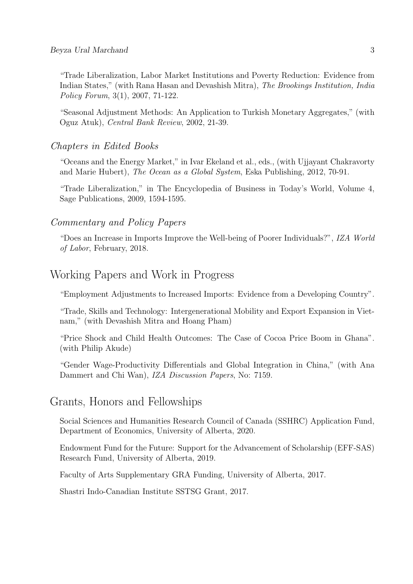"Trade Liberalization, Labor Market Institutions and Poverty Reduction: Evidence from Indian States," (with Rana Hasan and Devashish Mitra), The Brookings Institution, India Policy Forum, 3(1), 2007, 71-122.

"Seasonal Adjustment Methods: An Application to Turkish Monetary Aggregates," (with Oguz Atuk), Central Bank Review, 2002, 21-39.

#### Chapters in Edited Books

"Oceans and the Energy Market," in Ivar Ekeland et al., eds., (with Ujjayant Chakravorty and Marie Hubert), The Ocean as a Global System, Eska Publishing, 2012, 70-91.

"Trade Liberalization," in The Encyclopedia of Business in Today's World, Volume 4, Sage Publications, 2009, 1594-1595.

#### Commentary and Policy Papers

"Does an Increase in Imports Improve the Well-being of Poorer Individuals?", IZA World of Labor, February, 2018.

# Working Papers and Work in Progress

"Employment Adjustments to Increased Imports: Evidence from a Developing Country".

"Trade, Skills and Technology: Intergenerational Mobility and Export Expansion in Vietnam," (with Devashish Mitra and Hoang Pham)

"Price Shock and Child Health Outcomes: The Case of Cocoa Price Boom in Ghana". (with Philip Akude)

"Gender Wage-Productivity Differentials and Global Integration in China," (with Ana Dammert and Chi Wan), IZA Discussion Papers, No: 7159.

# Grants, Honors and Fellowships

Social Sciences and Humanities Research Council of Canada (SSHRC) Application Fund, Department of Economics, University of Alberta, 2020.

Endowment Fund for the Future: Support for the Advancement of Scholarship (EFF-SAS) Research Fund, University of Alberta, 2019.

Faculty of Arts Supplementary GRA Funding, University of Alberta, 2017.

Shastri Indo-Canadian Institute SSTSG Grant, 2017.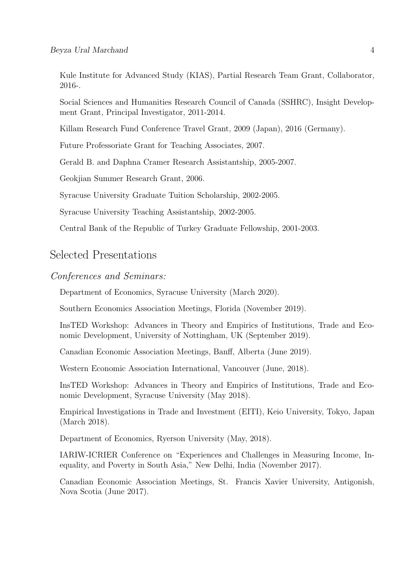Kule Institute for Advanced Study (KIAS), Partial Research Team Grant, Collaborator, 2016-.

Social Sciences and Humanities Research Council of Canada (SSHRC), Insight Development Grant, Principal Investigator, 2011-2014.

Killam Research Fund Conference Travel Grant, 2009 (Japan), 2016 (Germany).

Future Professoriate Grant for Teaching Associates, 2007.

Gerald B. and Daphna Cramer Research Assistantship, 2005-2007.

Geokjian Summer Research Grant, 2006.

Syracuse University Graduate Tuition Scholarship, 2002-2005.

Syracuse University Teaching Assistantship, 2002-2005.

Central Bank of the Republic of Turkey Graduate Fellowship, 2001-2003.

# Selected Presentations

#### Conferences and Seminars:

Department of Economics, Syracuse University (March 2020).

Southern Economics Association Meetings, Florida (November 2019).

InsTED Workshop: Advances in Theory and Empirics of Institutions, Trade and Economic Development, University of Nottingham, UK (September 2019).

Canadian Economic Association Meetings, Banff, Alberta (June 2019).

Western Economic Association International, Vancouver (June, 2018).

InsTED Workshop: Advances in Theory and Empirics of Institutions, Trade and Economic Development, Syracuse University (May 2018).

Empirical Investigations in Trade and Investment (EITI), Keio University, Tokyo, Japan (March 2018).

Department of Economics, Ryerson University (May, 2018).

IARIW-ICRIER Conference on "Experiences and Challenges in Measuring Income, Inequality, and Poverty in South Asia," New Delhi, India (November 2017).

Canadian Economic Association Meetings, St. Francis Xavier University, Antigonish, Nova Scotia (June 2017).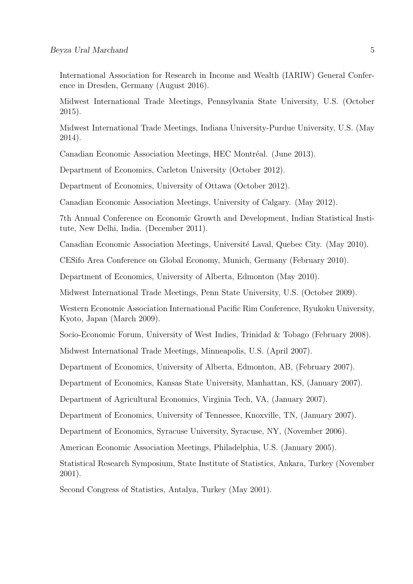International Association for Research in Income and Wealth (IARIW) General Conference in Dresden, Germany (August 2016).

Midwest International Trade Meetings, Pennsylvania State University, U.S. (October 2015).

Midwest International Trade Meetings, Indiana University-Purdue University, U.S. (May 2014).

Canadian Economic Association Meetings, HEC Montréal. (June 2013).

Department of Economics, Carleton University (October 2012).

Department of Economics, University of Ottawa (October 2012).

Canadian Economic Association Meetings, University of Calgary. (May 2012).

7th Annual Conference on Economic Growth and Development, Indian Statistical Institute, New Delhi, India. (December 2011).

Canadian Economic Association Meetings, Université Laval, Quebec City. (May 2010).

CESifo Area Conference on Global Economy, Munich, Germany (February 2010).

Department of Economics, University of Alberta, Edmonton (May 2010).

Midwest International Trade Meetings, Penn State University, U.S. (October 2009).

Western Economic Association International Pacific Rim Conference, Ryukoku University, Kyoto, Japan (March 2009).

Socio-Economic Forum, University of West Indies, Trinidad & Tobago (February 2008).

Midwest International Trade Meetings, Minneapolis, U.S. (April 2007).

Department of Economics, University of Alberta, Edmonton, AB, (February 2007).

Department of Economics, Kansas State University, Manhattan, KS, (January 2007).

Department of Agricultural Economics, Virginia Tech, VA, (January 2007).

Department of Economics, University of Tennessee, Knoxville, TN, (January 2007).

Department of Economics, Syracuse University, Syracuse, NY, (November 2006).

American Economic Association Meetings, Philadelphia, U.S. (January 2005).

Statistical Research Symposium, State Institute of Statistics, Ankara, Turkey (November 2001).

Second Congress of Statistics, Antalya, Turkey (May 2001).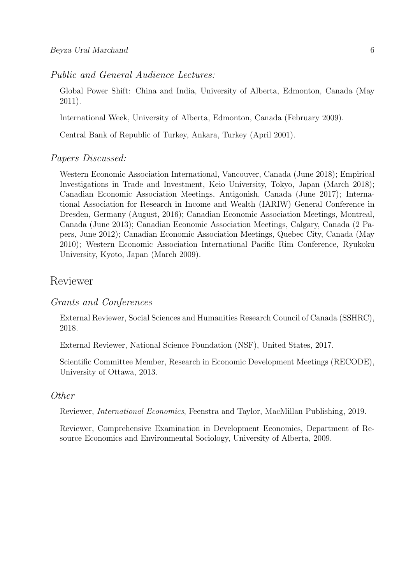#### Public and General Audience Lectures:

Global Power Shift: China and India, University of Alberta, Edmonton, Canada (May 2011).

International Week, University of Alberta, Edmonton, Canada (February 2009).

Central Bank of Republic of Turkey, Ankara, Turkey (April 2001).

#### Papers Discussed:

Western Economic Association International, Vancouver, Canada (June 2018); Empirical Investigations in Trade and Investment, Keio University, Tokyo, Japan (March 2018); Canadian Economic Association Meetings, Antigonish, Canada (June 2017); International Association for Research in Income and Wealth (IARIW) General Conference in Dresden, Germany (August, 2016); Canadian Economic Association Meetings, Montreal, Canada (June 2013); Canadian Economic Association Meetings, Calgary, Canada (2 Papers, June 2012); Canadian Economic Association Meetings, Quebec City, Canada (May 2010); Western Economic Association International Pacific Rim Conference, Ryukoku University, Kyoto, Japan (March 2009).

# Reviewer

#### Grants and Conferences

External Reviewer, Social Sciences and Humanities Research Council of Canada (SSHRC), 2018.

External Reviewer, National Science Foundation (NSF), United States, 2017.

Scientific Committee Member, Research in Economic Development Meetings (RECODE), University of Ottawa, 2013.

#### Other

Reviewer, International Economics, Feenstra and Taylor, MacMillan Publishing, 2019.

Reviewer, Comprehensive Examination in Development Economics, Department of Resource Economics and Environmental Sociology, University of Alberta, 2009.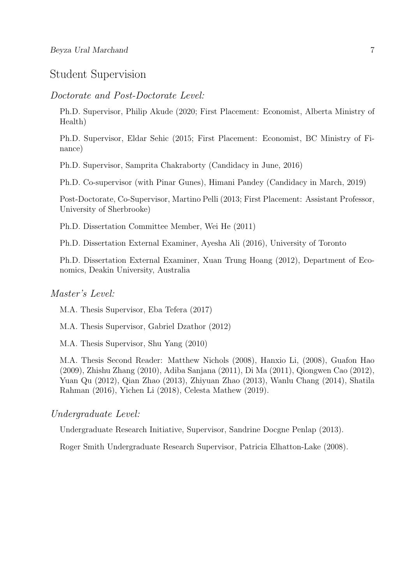# Student Supervision

#### Doctorate and Post-Doctorate Level:

Ph.D. Supervisor, Philip Akude (2020; First Placement: Economist, Alberta Ministry of Health)

Ph.D. Supervisor, Eldar Sehic (2015; First Placement: Economist, BC Ministry of Finance)

Ph.D. Supervisor, Samprita Chakraborty (Candidacy in June, 2016)

Ph.D. Co-supervisor (with Pinar Gunes), Himani Pandey (Candidacy in March, 2019)

Post-Doctorate, Co-Supervisor, Martino Pelli (2013; First Placement: Assistant Professor, University of Sherbrooke)

Ph.D. Dissertation Committee Member, Wei He (2011)

Ph.D. Dissertation External Examiner, Ayesha Ali (2016), University of Toronto

Ph.D. Dissertation External Examiner, Xuan Trung Hoang (2012), Department of Economics, Deakin University, Australia

#### Master's Level:

M.A. Thesis Supervisor, Eba Tefera (2017)

M.A. Thesis Supervisor, Gabriel Dzathor (2012)

M.A. Thesis Supervisor, Shu Yang (2010)

M.A. Thesis Second Reader: Matthew Nichols (2008), Hanxio Li, (2008), Guafon Hao (2009), Zhishu Zhang (2010), Adiba Sanjana (2011), Di Ma (2011), Qiongwen Cao (2012), Yuan Qu (2012), Qian Zhao (2013), Zhiyuan Zhao (2013), Wanlu Chang (2014), Shatila Rahman (2016), Yichen Li (2018), Celesta Mathew (2019).

#### Undergraduate Level:

Undergraduate Research Initiative, Supervisor, Sandrine Docgne Penlap (2013).

Roger Smith Undergraduate Research Supervisor, Patricia Elhatton-Lake (2008).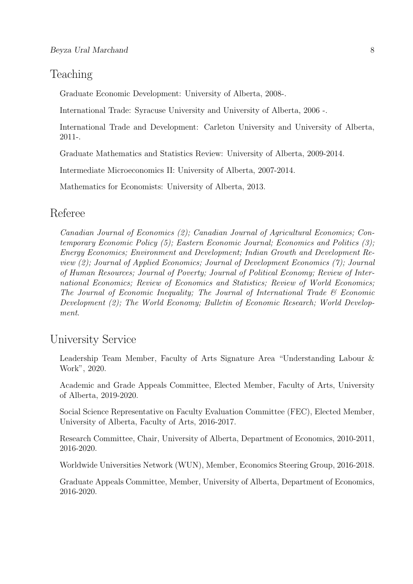# Teaching

Graduate Economic Development: University of Alberta, 2008-.

International Trade: Syracuse University and University of Alberta, 2006 -.

International Trade and Development: Carleton University and University of Alberta, 2011-.

Graduate Mathematics and Statistics Review: University of Alberta, 2009-2014.

Intermediate Microeconomics II: University of Alberta, 2007-2014.

Mathematics for Economists: University of Alberta, 2013.

# Referee

Canadian Journal of Economics (2); Canadian Journal of Agricultural Economics; Contemporary Economic Policy (5); Eastern Economic Journal; Economics and Politics (3); Energy Economics; Environment and Development; Indian Growth and Development Review (2); Journal of Applied Economics; Journal of Development Economics (7); Journal of Human Resources; Journal of Poverty; Journal of Political Economy; Review of International Economics; Review of Economics and Statistics; Review of World Economics; The Journal of Economic Inequality; The Journal of International Trade & Economic Development (2); The World Economy; Bulletin of Economic Research; World Development.

# University Service

Leadership Team Member, Faculty of Arts Signature Area "Understanding Labour & Work", 2020.

Academic and Grade Appeals Committee, Elected Member, Faculty of Arts, University of Alberta, 2019-2020.

Social Science Representative on Faculty Evaluation Committee (FEC), Elected Member, University of Alberta, Faculty of Arts, 2016-2017.

Research Committee, Chair, University of Alberta, Department of Economics, 2010-2011, 2016-2020.

Worldwide Universities Network (WUN), Member, Economics Steering Group, 2016-2018.

Graduate Appeals Committee, Member, University of Alberta, Department of Economics, 2016-2020.